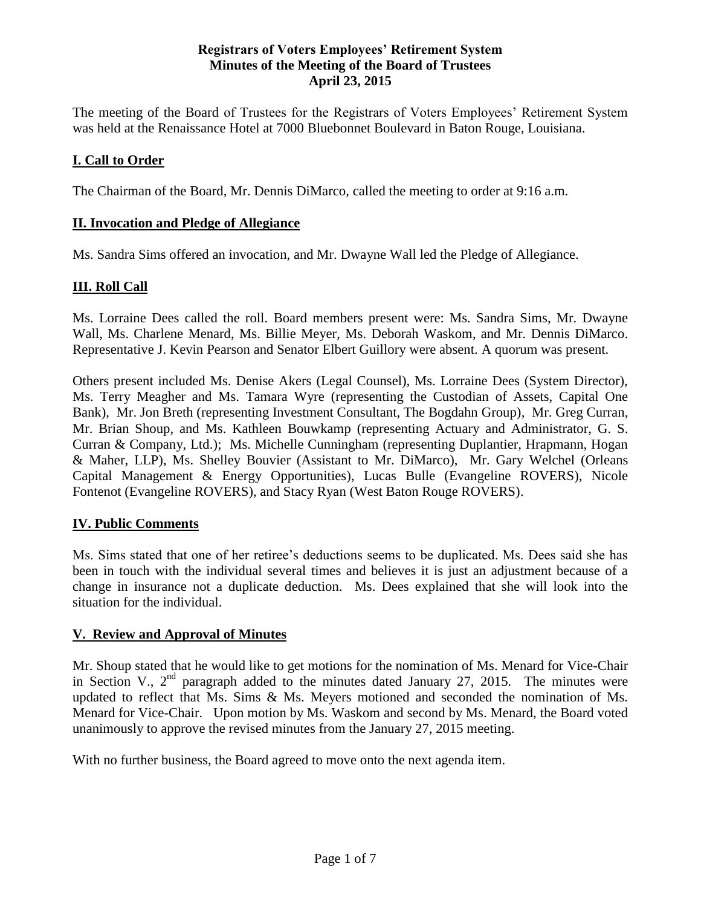#### **Registrars of Voters Employees' Retirement System Minutes of the Meeting of the Board of Trustees April 23, 2015**

The meeting of the Board of Trustees for the Registrars of Voters Employees' Retirement System was held at the Renaissance Hotel at 7000 Bluebonnet Boulevard in Baton Rouge, Louisiana.

### **I. Call to Order**

The Chairman of the Board, Mr. Dennis DiMarco, called the meeting to order at 9:16 a.m.

#### **II. Invocation and Pledge of Allegiance**

Ms. Sandra Sims offered an invocation, and Mr. Dwayne Wall led the Pledge of Allegiance.

### **III. Roll Call**

Ms. Lorraine Dees called the roll. Board members present were: Ms. Sandra Sims, Mr. Dwayne Wall, Ms. Charlene Menard, Ms. Billie Meyer, Ms. Deborah Waskom, and Mr. Dennis DiMarco. Representative J. Kevin Pearson and Senator Elbert Guillory were absent. A quorum was present.

Others present included Ms. Denise Akers (Legal Counsel), Ms. Lorraine Dees (System Director), Ms. Terry Meagher and Ms. Tamara Wyre (representing the Custodian of Assets, Capital One Bank), Mr. Jon Breth (representing Investment Consultant, The Bogdahn Group), Mr. Greg Curran, Mr. Brian Shoup, and Ms. Kathleen Bouwkamp (representing Actuary and Administrator, G. S. Curran & Company, Ltd.); Ms. Michelle Cunningham (representing Duplantier, Hrapmann, Hogan & Maher, LLP), Ms. Shelley Bouvier (Assistant to Mr. DiMarco), Mr. Gary Welchel (Orleans Capital Management & Energy Opportunities), Lucas Bulle (Evangeline ROVERS), Nicole Fontenot (Evangeline ROVERS), and Stacy Ryan (West Baton Rouge ROVERS).

### **IV. Public Comments**

Ms. Sims stated that one of her retiree's deductions seems to be duplicated. Ms. Dees said she has been in touch with the individual several times and believes it is just an adjustment because of a change in insurance not a duplicate deduction. Ms. Dees explained that she will look into the situation for the individual.

#### **V. Review and Approval of Minutes**

Mr. Shoup stated that he would like to get motions for the nomination of Ms. Menard for Vice-Chair in Section V.,  $2<sup>nd</sup>$  paragraph added to the minutes dated January 27, 2015. The minutes were updated to reflect that Ms. Sims & Ms. Meyers motioned and seconded the nomination of Ms. Menard for Vice-Chair. Upon motion by Ms. Waskom and second by Ms. Menard, the Board voted unanimously to approve the revised minutes from the January 27, 2015 meeting.

With no further business, the Board agreed to move onto the next agenda item.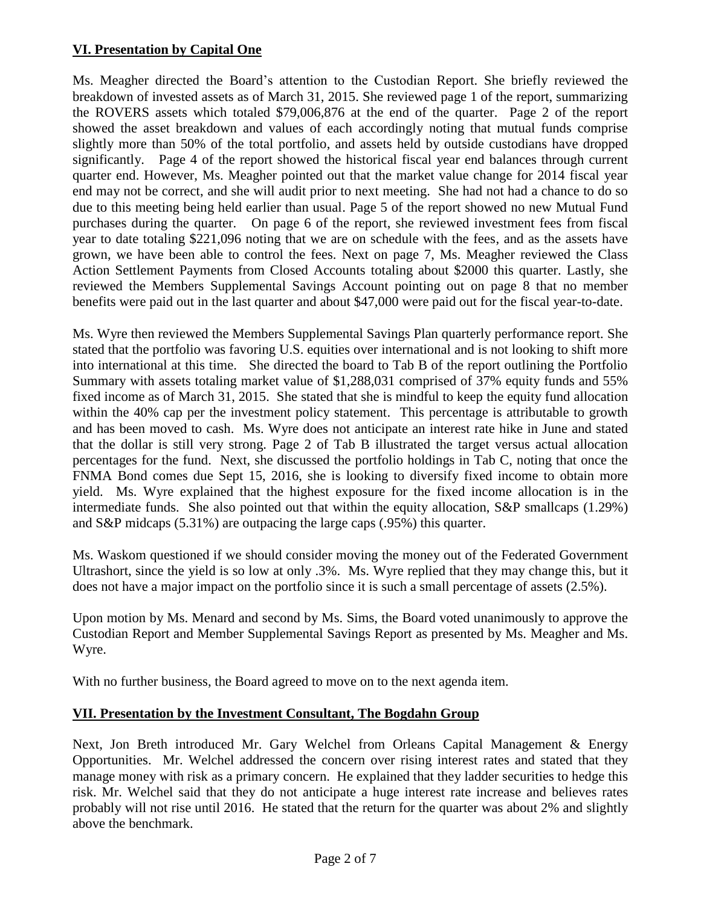### **VI. Presentation by Capital One**

Ms. Meagher directed the Board's attention to the Custodian Report. She briefly reviewed the breakdown of invested assets as of March 31, 2015. She reviewed page 1 of the report, summarizing the ROVERS assets which totaled \$79,006,876 at the end of the quarter. Page 2 of the report showed the asset breakdown and values of each accordingly noting that mutual funds comprise slightly more than 50% of the total portfolio, and assets held by outside custodians have dropped significantly. Page 4 of the report showed the historical fiscal year end balances through current quarter end. However, Ms. Meagher pointed out that the market value change for 2014 fiscal year end may not be correct, and she will audit prior to next meeting. She had not had a chance to do so due to this meeting being held earlier than usual. Page 5 of the report showed no new Mutual Fund purchases during the quarter. On page 6 of the report, she reviewed investment fees from fiscal year to date totaling \$221,096 noting that we are on schedule with the fees, and as the assets have grown, we have been able to control the fees. Next on page 7, Ms. Meagher reviewed the Class Action Settlement Payments from Closed Accounts totaling about \$2000 this quarter. Lastly, she reviewed the Members Supplemental Savings Account pointing out on page 8 that no member benefits were paid out in the last quarter and about \$47,000 were paid out for the fiscal year-to-date.

Ms. Wyre then reviewed the Members Supplemental Savings Plan quarterly performance report. She stated that the portfolio was favoring U.S. equities over international and is not looking to shift more into international at this time. She directed the board to Tab B of the report outlining the Portfolio Summary with assets totaling market value of \$1,288,031 comprised of 37% equity funds and 55% fixed income as of March 31, 2015. She stated that she is mindful to keep the equity fund allocation within the 40% cap per the investment policy statement. This percentage is attributable to growth and has been moved to cash. Ms. Wyre does not anticipate an interest rate hike in June and stated that the dollar is still very strong. Page 2 of Tab B illustrated the target versus actual allocation percentages for the fund. Next, she discussed the portfolio holdings in Tab C, noting that once the FNMA Bond comes due Sept 15, 2016, she is looking to diversify fixed income to obtain more yield. Ms. Wyre explained that the highest exposure for the fixed income allocation is in the intermediate funds. She also pointed out that within the equity allocation, S&P smallcaps (1.29%) and S&P midcaps (5.31%) are outpacing the large caps (.95%) this quarter.

Ms. Waskom questioned if we should consider moving the money out of the Federated Government Ultrashort, since the yield is so low at only .3%. Ms. Wyre replied that they may change this, but it does not have a major impact on the portfolio since it is such a small percentage of assets (2.5%).

Upon motion by Ms. Menard and second by Ms. Sims, the Board voted unanimously to approve the Custodian Report and Member Supplemental Savings Report as presented by Ms. Meagher and Ms. Wyre.

With no further business, the Board agreed to move on to the next agenda item.

### **VII. Presentation by the Investment Consultant, The Bogdahn Group**

Next, Jon Breth introduced Mr. Gary Welchel from Orleans Capital Management & Energy Opportunities. Mr. Welchel addressed the concern over rising interest rates and stated that they manage money with risk as a primary concern. He explained that they ladder securities to hedge this risk. Mr. Welchel said that they do not anticipate a huge interest rate increase and believes rates probably will not rise until 2016. He stated that the return for the quarter was about 2% and slightly above the benchmark.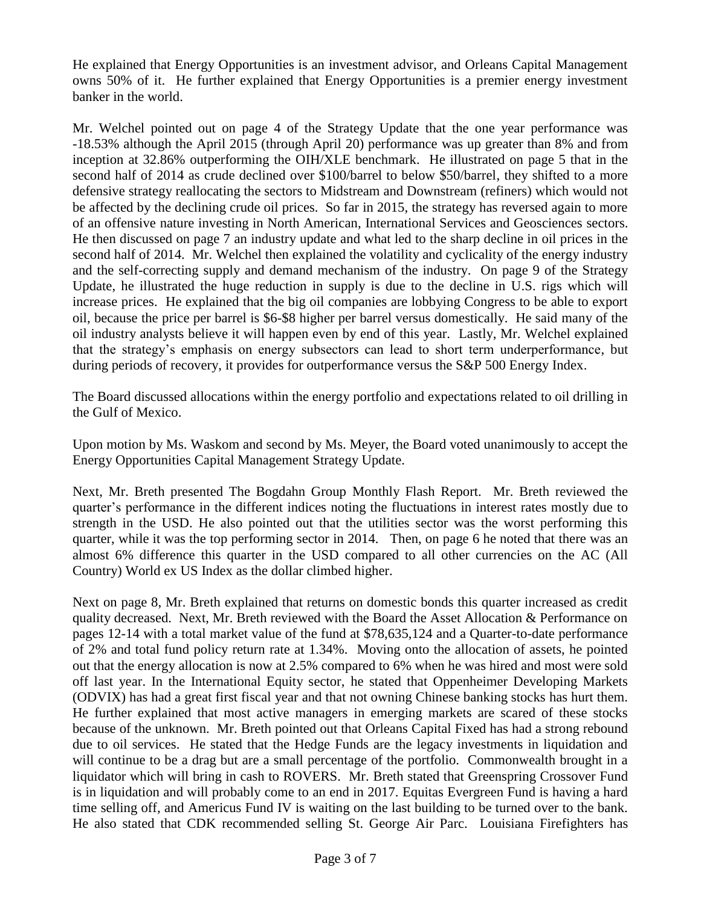He explained that Energy Opportunities is an investment advisor, and Orleans Capital Management owns 50% of it. He further explained that Energy Opportunities is a premier energy investment banker in the world.

Mr. Welchel pointed out on page 4 of the Strategy Update that the one year performance was -18.53% although the April 2015 (through April 20) performance was up greater than 8% and from inception at 32.86% outperforming the OIH/XLE benchmark. He illustrated on page 5 that in the second half of 2014 as crude declined over \$100/barrel to below \$50/barrel, they shifted to a more defensive strategy reallocating the sectors to Midstream and Downstream (refiners) which would not be affected by the declining crude oil prices. So far in 2015, the strategy has reversed again to more of an offensive nature investing in North American, International Services and Geosciences sectors. He then discussed on page 7 an industry update and what led to the sharp decline in oil prices in the second half of 2014. Mr. Welchel then explained the volatility and cyclicality of the energy industry and the self-correcting supply and demand mechanism of the industry. On page 9 of the Strategy Update, he illustrated the huge reduction in supply is due to the decline in U.S. rigs which will increase prices. He explained that the big oil companies are lobbying Congress to be able to export oil, because the price per barrel is \$6-\$8 higher per barrel versus domestically. He said many of the oil industry analysts believe it will happen even by end of this year. Lastly, Mr. Welchel explained that the strategy's emphasis on energy subsectors can lead to short term underperformance, but during periods of recovery, it provides for outperformance versus the S&P 500 Energy Index.

The Board discussed allocations within the energy portfolio and expectations related to oil drilling in the Gulf of Mexico.

Upon motion by Ms. Waskom and second by Ms. Meyer, the Board voted unanimously to accept the Energy Opportunities Capital Management Strategy Update.

Next, Mr. Breth presented The Bogdahn Group Monthly Flash Report. Mr. Breth reviewed the quarter's performance in the different indices noting the fluctuations in interest rates mostly due to strength in the USD. He also pointed out that the utilities sector was the worst performing this quarter, while it was the top performing sector in 2014. Then, on page 6 he noted that there was an almost 6% difference this quarter in the USD compared to all other currencies on the AC (All Country) World ex US Index as the dollar climbed higher.

Next on page 8, Mr. Breth explained that returns on domestic bonds this quarter increased as credit quality decreased. Next, Mr. Breth reviewed with the Board the Asset Allocation & Performance on pages 12-14 with a total market value of the fund at \$78,635,124 and a Quarter-to-date performance of 2% and total fund policy return rate at 1.34%. Moving onto the allocation of assets, he pointed out that the energy allocation is now at 2.5% compared to 6% when he was hired and most were sold off last year. In the International Equity sector, he stated that Oppenheimer Developing Markets (ODVIX) has had a great first fiscal year and that not owning Chinese banking stocks has hurt them. He further explained that most active managers in emerging markets are scared of these stocks because of the unknown. Mr. Breth pointed out that Orleans Capital Fixed has had a strong rebound due to oil services. He stated that the Hedge Funds are the legacy investments in liquidation and will continue to be a drag but are a small percentage of the portfolio. Commonwealth brought in a liquidator which will bring in cash to ROVERS. Mr. Breth stated that Greenspring Crossover Fund is in liquidation and will probably come to an end in 2017. Equitas Evergreen Fund is having a hard time selling off, and Americus Fund IV is waiting on the last building to be turned over to the bank. He also stated that CDK recommended selling St. George Air Parc. Louisiana Firefighters has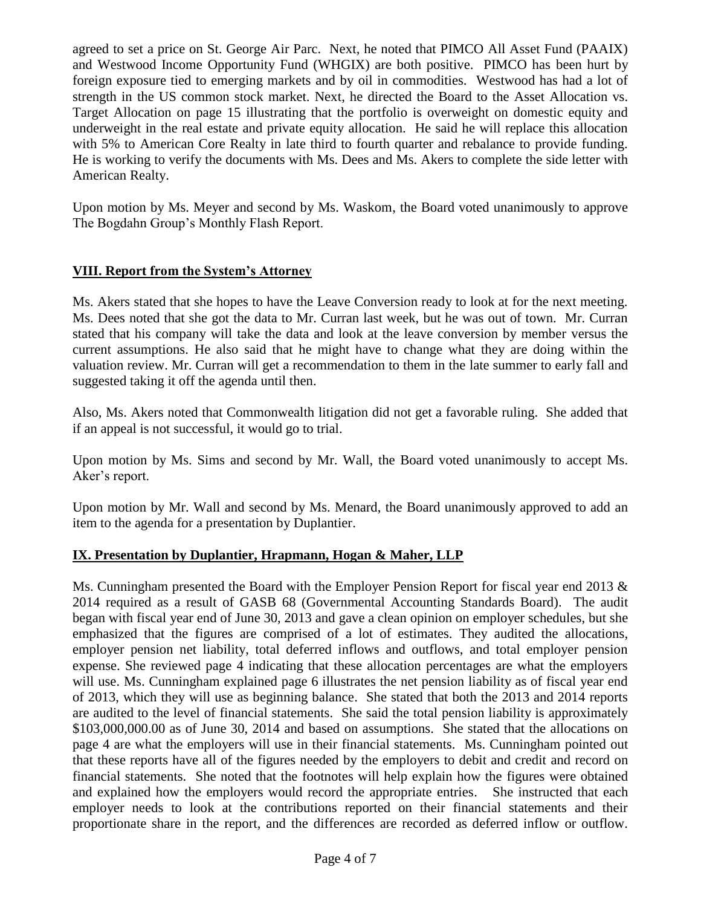agreed to set a price on St. George Air Parc. Next, he noted that PIMCO All Asset Fund (PAAIX) and Westwood Income Opportunity Fund (WHGIX) are both positive. PIMCO has been hurt by foreign exposure tied to emerging markets and by oil in commodities. Westwood has had a lot of strength in the US common stock market. Next, he directed the Board to the Asset Allocation vs. Target Allocation on page 15 illustrating that the portfolio is overweight on domestic equity and underweight in the real estate and private equity allocation. He said he will replace this allocation with 5% to American Core Realty in late third to fourth quarter and rebalance to provide funding. He is working to verify the documents with Ms. Dees and Ms. Akers to complete the side letter with American Realty.

Upon motion by Ms. Meyer and second by Ms. Waskom, the Board voted unanimously to approve The Bogdahn Group's Monthly Flash Report.

### **VIII. Report from the System's Attorney**

Ms. Akers stated that she hopes to have the Leave Conversion ready to look at for the next meeting. Ms. Dees noted that she got the data to Mr. Curran last week, but he was out of town. Mr. Curran stated that his company will take the data and look at the leave conversion by member versus the current assumptions. He also said that he might have to change what they are doing within the valuation review. Mr. Curran will get a recommendation to them in the late summer to early fall and suggested taking it off the agenda until then.

Also, Ms. Akers noted that Commonwealth litigation did not get a favorable ruling. She added that if an appeal is not successful, it would go to trial.

Upon motion by Ms. Sims and second by Mr. Wall, the Board voted unanimously to accept Ms. Aker's report.

Upon motion by Mr. Wall and second by Ms. Menard, the Board unanimously approved to add an item to the agenda for a presentation by Duplantier.

### **IX. Presentation by Duplantier, Hrapmann, Hogan & Maher, LLP**

Ms. Cunningham presented the Board with the Employer Pension Report for fiscal year end 2013 & 2014 required as a result of GASB 68 (Governmental Accounting Standards Board). The audit began with fiscal year end of June 30, 2013 and gave a clean opinion on employer schedules, but she emphasized that the figures are comprised of a lot of estimates. They audited the allocations, employer pension net liability, total deferred inflows and outflows, and total employer pension expense. She reviewed page 4 indicating that these allocation percentages are what the employers will use. Ms. Cunningham explained page 6 illustrates the net pension liability as of fiscal year end of 2013, which they will use as beginning balance. She stated that both the 2013 and 2014 reports are audited to the level of financial statements. She said the total pension liability is approximately \$103,000,000.00 as of June 30, 2014 and based on assumptions. She stated that the allocations on page 4 are what the employers will use in their financial statements. Ms. Cunningham pointed out that these reports have all of the figures needed by the employers to debit and credit and record on financial statements. She noted that the footnotes will help explain how the figures were obtained and explained how the employers would record the appropriate entries. She instructed that each employer needs to look at the contributions reported on their financial statements and their proportionate share in the report, and the differences are recorded as deferred inflow or outflow.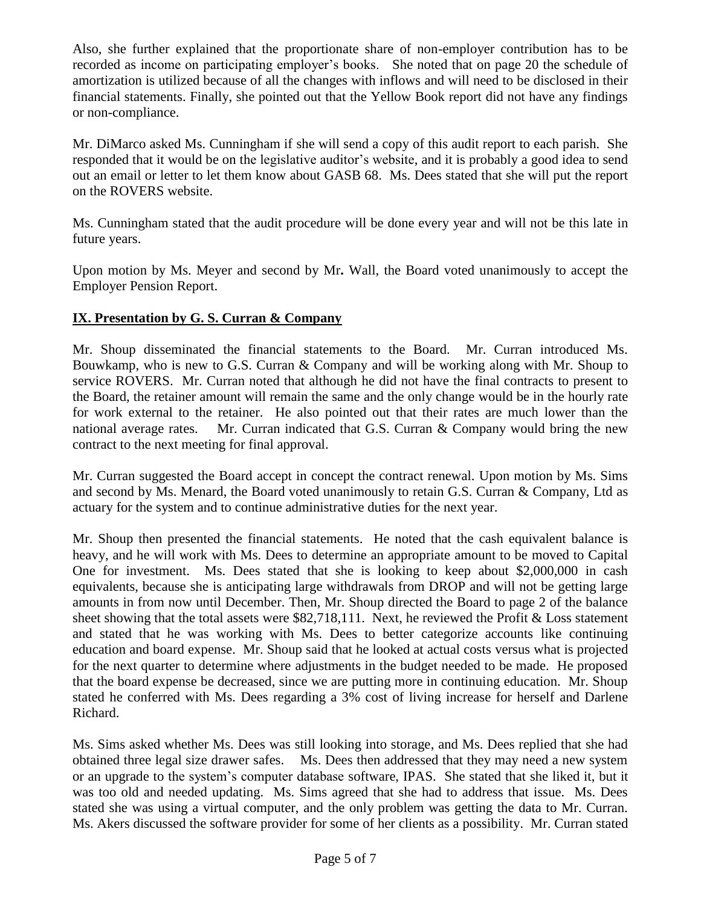Also, she further explained that the proportionate share of non-employer contribution has to be recorded as income on participating employer's books. She noted that on page 20 the schedule of amortization is utilized because of all the changes with inflows and will need to be disclosed in their financial statements. Finally, she pointed out that the Yellow Book report did not have any findings or non-compliance.

Mr. DiMarco asked Ms. Cunningham if she will send a copy of this audit report to each parish. She responded that it would be on the legislative auditor's website, and it is probably a good idea to send out an email or letter to let them know about GASB 68. Ms. Dees stated that she will put the report on the ROVERS website.

Ms. Cunningham stated that the audit procedure will be done every year and will not be this late in future years.

Upon motion by Ms. Meyer and second by Mr**.** Wall, the Board voted unanimously to accept the Employer Pension Report.

# **IX. Presentation by G. S. Curran & Company**

Mr. Shoup disseminated the financial statements to the Board. Mr. Curran introduced Ms. Bouwkamp, who is new to G.S. Curran & Company and will be working along with Mr. Shoup to service ROVERS. Mr. Curran noted that although he did not have the final contracts to present to the Board, the retainer amount will remain the same and the only change would be in the hourly rate for work external to the retainer. He also pointed out that their rates are much lower than the national average rates. Mr. Curran indicated that G.S. Curran & Company would bring the new contract to the next meeting for final approval.

Mr. Curran suggested the Board accept in concept the contract renewal. Upon motion by Ms. Sims and second by Ms. Menard, the Board voted unanimously to retain G.S. Curran & Company, Ltd as actuary for the system and to continue administrative duties for the next year.

Mr. Shoup then presented the financial statements. He noted that the cash equivalent balance is heavy, and he will work with Ms. Dees to determine an appropriate amount to be moved to Capital One for investment. Ms. Dees stated that she is looking to keep about \$2,000,000 in cash equivalents, because she is anticipating large withdrawals from DROP and will not be getting large amounts in from now until December. Then, Mr. Shoup directed the Board to page 2 of the balance sheet showing that the total assets were \$82,718,111. Next, he reviewed the Profit & Loss statement and stated that he was working with Ms. Dees to better categorize accounts like continuing education and board expense. Mr. Shoup said that he looked at actual costs versus what is projected for the next quarter to determine where adjustments in the budget needed to be made. He proposed that the board expense be decreased, since we are putting more in continuing education. Mr. Shoup stated he conferred with Ms. Dees regarding a 3% cost of living increase for herself and Darlene Richard.

Ms. Sims asked whether Ms. Dees was still looking into storage, and Ms. Dees replied that she had obtained three legal size drawer safes. Ms. Dees then addressed that they may need a new system or an upgrade to the system's computer database software, IPAS. She stated that she liked it, but it was too old and needed updating. Ms. Sims agreed that she had to address that issue. Ms. Dees stated she was using a virtual computer, and the only problem was getting the data to Mr. Curran. Ms. Akers discussed the software provider for some of her clients as a possibility. Mr. Curran stated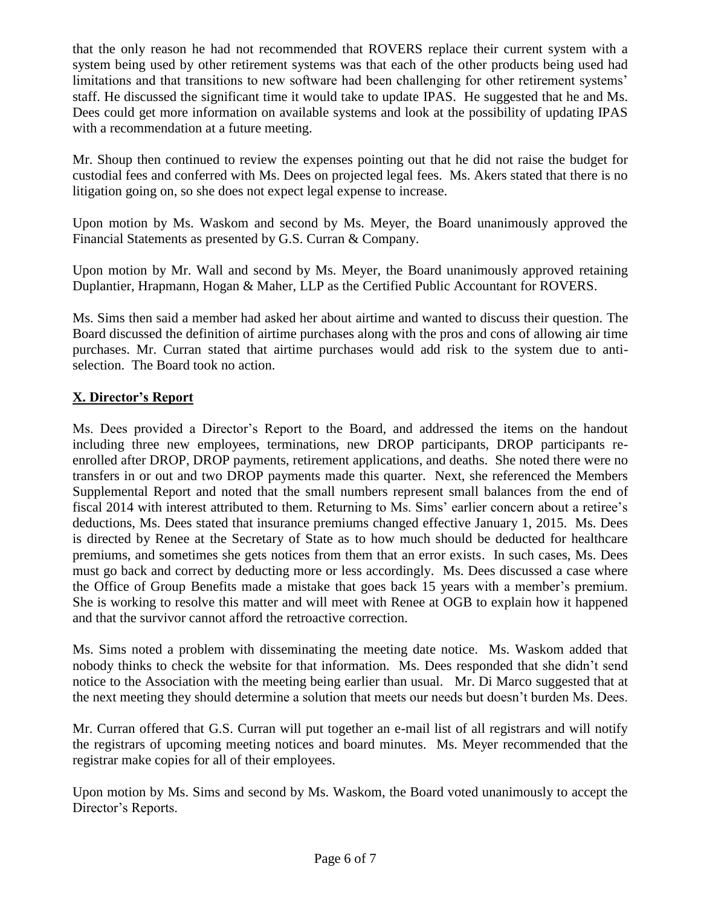that the only reason he had not recommended that ROVERS replace their current system with a system being used by other retirement systems was that each of the other products being used had limitations and that transitions to new software had been challenging for other retirement systems' staff. He discussed the significant time it would take to update IPAS. He suggested that he and Ms. Dees could get more information on available systems and look at the possibility of updating IPAS with a recommendation at a future meeting.

Mr. Shoup then continued to review the expenses pointing out that he did not raise the budget for custodial fees and conferred with Ms. Dees on projected legal fees. Ms. Akers stated that there is no litigation going on, so she does not expect legal expense to increase.

Upon motion by Ms. Waskom and second by Ms. Meyer, the Board unanimously approved the Financial Statements as presented by G.S. Curran & Company.

Upon motion by Mr. Wall and second by Ms. Meyer, the Board unanimously approved retaining Duplantier, Hrapmann, Hogan & Maher, LLP as the Certified Public Accountant for ROVERS.

Ms. Sims then said a member had asked her about airtime and wanted to discuss their question. The Board discussed the definition of airtime purchases along with the pros and cons of allowing air time purchases. Mr. Curran stated that airtime purchases would add risk to the system due to antiselection. The Board took no action.

# **X. Director's Report**

Ms. Dees provided a Director's Report to the Board, and addressed the items on the handout including three new employees, terminations, new DROP participants, DROP participants reenrolled after DROP, DROP payments, retirement applications, and deaths. She noted there were no transfers in or out and two DROP payments made this quarter. Next, she referenced the Members Supplemental Report and noted that the small numbers represent small balances from the end of fiscal 2014 with interest attributed to them. Returning to Ms. Sims' earlier concern about a retiree's deductions, Ms. Dees stated that insurance premiums changed effective January 1, 2015. Ms. Dees is directed by Renee at the Secretary of State as to how much should be deducted for healthcare premiums, and sometimes she gets notices from them that an error exists. In such cases, Ms. Dees must go back and correct by deducting more or less accordingly. Ms. Dees discussed a case where the Office of Group Benefits made a mistake that goes back 15 years with a member's premium. She is working to resolve this matter and will meet with Renee at OGB to explain how it happened and that the survivor cannot afford the retroactive correction.

Ms. Sims noted a problem with disseminating the meeting date notice. Ms. Waskom added that nobody thinks to check the website for that information. Ms. Dees responded that she didn't send notice to the Association with the meeting being earlier than usual. Mr. Di Marco suggested that at the next meeting they should determine a solution that meets our needs but doesn't burden Ms. Dees.

Mr. Curran offered that G.S. Curran will put together an e-mail list of all registrars and will notify the registrars of upcoming meeting notices and board minutes. Ms. Meyer recommended that the registrar make copies for all of their employees.

Upon motion by Ms. Sims and second by Ms. Waskom, the Board voted unanimously to accept the Director's Reports.